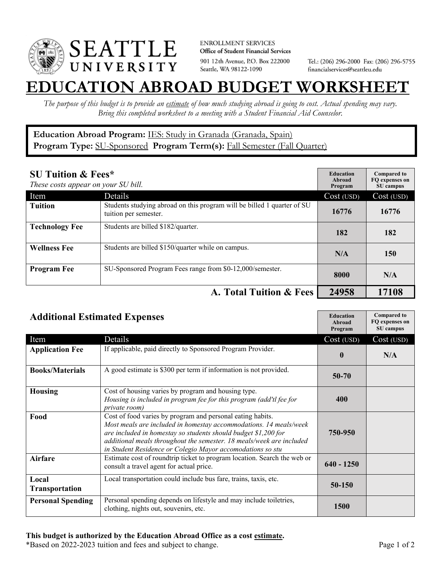

**ENROLLMENT SERVICES** Office of Student Financial Services 901 12th Avenue, P.O. Box 222000 Seattle, WA 98122-1090

Tel.: (206) 296-2000 Fax: (206) 296-5755 financialservices@seattleu.edu

## **EATION ABROAD BUDGET WORKSHEE**

*The purpose of this budget is to provide an estimate of how much studying abroad is going to cost. Actual spending may vary. Bring this completed worksheet to a meeting with a Student Financial Aid Counselor.* 

## **Education Abroad Program:** IES: Study in Granada (Granada, Spain) Program Type: **SU-Sponsored** Program Term(s): **Fall Semester (Fall Quarter)**

| <b>SU Tuition &amp; Fees*</b><br>These costs appear on your SU bill. |                                                                                                  | <b>Education</b><br>Abroad<br>Program | <b>Compared to</b><br>FO expenses on<br>SU campus |
|----------------------------------------------------------------------|--------------------------------------------------------------------------------------------------|---------------------------------------|---------------------------------------------------|
| Item                                                                 | Details                                                                                          | Cost (USD)                            | Cost (USD)                                        |
| <b>Tuition</b>                                                       | Students studying abroad on this program will be billed 1 quarter of SU<br>tuition per semester. | 16776                                 | 16776                                             |
| <b>Technology Fee</b>                                                | Students are billed \$182/quarter.                                                               | 182                                   | 182                                               |
| <b>Wellness Fee</b>                                                  | Students are billed \$150/quarter while on campus.                                               | N/A                                   | 150                                               |
| <b>Program Fee</b>                                                   | SU-Sponsored Program Fees range from \$0-12,000/semester.                                        | 8000                                  | N/A                                               |
|                                                                      | A. Total Tuition & Fees                                                                          | 24958                                 | 17108                                             |

| <b>Additional Estimated Expenses</b> |                                                                                                                                                                                                                                                                                                                                         | <b>Education</b><br>Abroad<br>Program | <b>Compared to</b><br>FQ expenses on<br>SU campus |
|--------------------------------------|-----------------------------------------------------------------------------------------------------------------------------------------------------------------------------------------------------------------------------------------------------------------------------------------------------------------------------------------|---------------------------------------|---------------------------------------------------|
| Item                                 | Details                                                                                                                                                                                                                                                                                                                                 | Cost (USD)                            | Cost (USD)                                        |
| <b>Application Fee</b>               | If applicable, paid directly to Sponsored Program Provider.                                                                                                                                                                                                                                                                             | $\mathbf{0}$                          | N/A                                               |
| <b>Books/Materials</b>               | A good estimate is \$300 per term if information is not provided.                                                                                                                                                                                                                                                                       | $50 - 70$                             |                                                   |
| <b>Housing</b>                       | Cost of housing varies by program and housing type.<br>Housing is included in program fee for this program (add'tl fee for<br>private room)                                                                                                                                                                                             | 400                                   |                                                   |
| Food                                 | Cost of food varies by program and personal eating habits.<br>Most meals are included in homestay accommodations. 14 meals/week<br>are included in homestay so students should budget \$1,200 for<br>additional meals throughout the semester. 18 meals/week are included<br>in Student Residence or Colegio Mayor accomodations so stu | 750-950                               |                                                   |
| <b>Airfare</b>                       | Estimate cost of roundtrip ticket to program location. Search the web or<br>consult a travel agent for actual price.                                                                                                                                                                                                                    | $640 - 1250$                          |                                                   |
| Local<br><b>Transportation</b>       | Local transportation could include bus fare, trains, taxis, etc.                                                                                                                                                                                                                                                                        | 50-150                                |                                                   |
| <b>Personal Spending</b>             | Personal spending depends on lifestyle and may include toiletries,<br>clothing, nights out, souvenirs, etc.                                                                                                                                                                                                                             | <b>1500</b>                           |                                                   |

\*Based on 2022-2023 tuition and fees and subject to change. Page 1 of 2